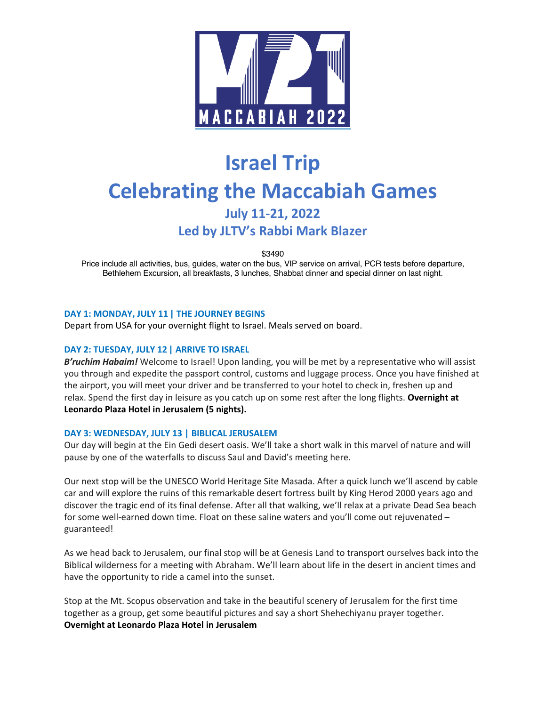

# **Israel Trip Celebrating the Maccabiah Games July 11-21, 2022 Led by JLTV's Rabbi Mark Blazer**

\$3490

Price include all activities, bus, guides, water on the bus, VIP service on arrival, PCR tests before departure, Bethlehem Excursion, all breakfasts, 3 lunches, Shabbat dinner and special dinner on last night.

#### **DAY 1: MONDAY, JULY 11 | THE JOURNEY BEGINS**

Depart from USA for your overnight flight to Israel. Meals served on board.

#### **DAY 2: TUESDAY, JULY 12 | ARRIVE TO ISRAEL**

*B'ruchim Habaim!* Welcome to Israel! Upon landing, you will be met by a representative who will assist you through and expedite the passport control, customs and luggage process. Once you have finished at the airport, you will meet your driver and be transferred to your hotel to check in, freshen up and relax. Spend the first day in leisure as you catch up on some rest after the long flights. **Overnight at Leonardo Plaza Hotel in Jerusalem (5 nights).**

#### **DAY 3: WEDNESDAY, JULY 13 | BIBLICAL JERUSALEM**

Our day will begin at the Ein Gedi desert oasis. We'll take a short walk in this marvel of nature and will pause by one of the waterfalls to discuss Saul and David's meeting here.

Our next stop will be the UNESCO World Heritage Site Masada. After a quick lunch we'll ascend by cable car and will explore the ruins of this remarkable desert fortress built by King Herod 2000 years ago and discover the tragic end of its final defense. After all that walking, we'll relax at a private Dead Sea beach for some well-earned down time. Float on these saline waters and you'll come out rejuvenated – guaranteed!

As we head back to Jerusalem, our final stop will be at Genesis Land to transport ourselves back into the Biblical wilderness for a meeting with Abraham. We'll learn about life in the desert in ancient times and have the opportunity to ride a camel into the sunset.

Stop at the Mt. Scopus observation and take in the beautiful scenery of Jerusalem for the first time together as a group, get some beautiful pictures and say a short Shehechiyanu prayer together. **Overnight at Leonardo Plaza Hotel in Jerusalem**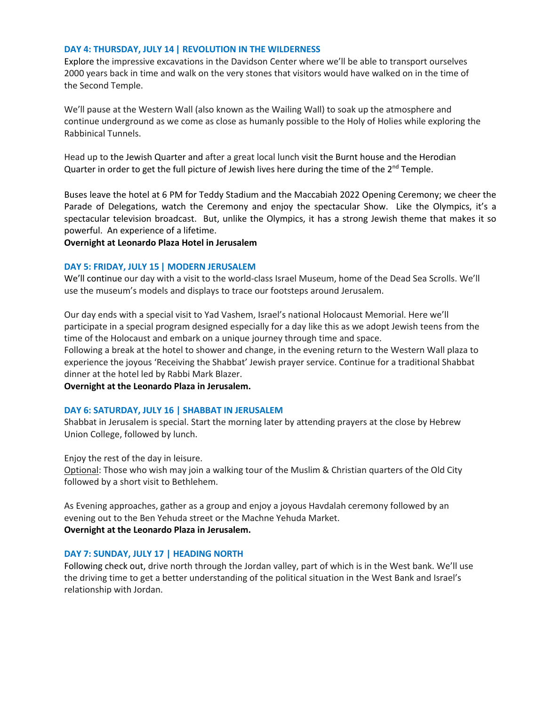#### **DAY 4: THURSDAY, JULY 14 | REVOLUTION IN THE WILDERNESS**

Explore the impressive excavations in the Davidson Center where we'll be able to transport ourselves 2000 years back in time and walk on the very stones that visitors would have walked on in the time of the Second Temple.

We'll pause at the Western Wall (also known as the Wailing Wall) to soak up the atmosphere and continue underground as we come as close as humanly possible to the Holy of Holies while exploring the Rabbinical Tunnels.

Head up to the Jewish Quarter and after a great local lunch visit the Burnt house and the Herodian Quarter in order to get the full picture of Jewish lives here during the time of the 2<sup>nd</sup> Temple.

Buses leave the hotel at 6 PM for Teddy Stadium and the Maccabiah 2022 Opening Ceremony; we cheer the Parade of Delegations, watch the Ceremony and enjoy the spectacular Show. Like the Olympics, it's a spectacular television broadcast. But, unlike the Olympics, it has a strong Jewish theme that makes it so powerful. An experience of a lifetime.

**Overnight at Leonardo Plaza Hotel in Jerusalem**

#### **DAY 5: FRIDAY, JULY 15 | MODERN JERUSALEM**

We'll continue our day with a visit to the world-class Israel Museum, home of the Dead Sea Scrolls. We'll use the museum's models and displays to trace our footsteps around Jerusalem.

Our day ends with a special visit to Yad Vashem, Israel's national Holocaust Memorial. Here we'll participate in a special program designed especially for a day like this as we adopt Jewish teens from the time of the Holocaust and embark on a unique journey through time and space.

Following a break at the hotel to shower and change, in the evening return to the Western Wall plaza to experience the joyous 'Receiving the Shabbat' Jewish prayer service. Continue for a traditional Shabbat dinner at the hotel led by Rabbi Mark Blazer.

**Overnight at the Leonardo Plaza in Jerusalem.**

#### **DAY 6: SATURDAY, JULY 16 | SHABBAT IN JERUSALEM**

Shabbat in Jerusalem is special. Start the morning later by attending prayers at the close by Hebrew Union College, followed by lunch.

Enjoy the rest of the day in leisure.

Optional: Those who wish may join a walking tour of the Muslim & Christian quarters of the Old City followed by a short visit to Bethlehem.

As Evening approaches, gather as a group and enjoy a joyous Havdalah ceremony followed by an evening out to the Ben Yehuda street or the Machne Yehuda Market. **Overnight at the Leonardo Plaza in Jerusalem.**

#### **DAY 7: SUNDAY, JULY 17 | HEADING NORTH**

Following check out, drive north through the Jordan valley, part of which is in the West bank. We'll use the driving time to get a better understanding of the political situation in the West Bank and Israel's relationship with Jordan.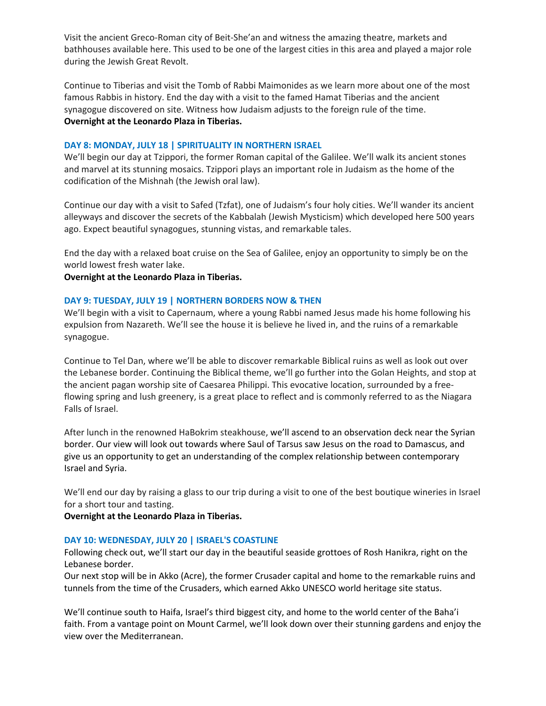Visit the ancient Greco-Roman city of Beit-She'an and witness the amazing theatre, markets and bathhouses available here. This used to be one of the largest cities in this area and played a major role during the Jewish Great Revolt.

Continue to Tiberias and visit the Tomb of Rabbi Maimonides as we learn more about one of the most famous Rabbis in history. End the day with a visit to the famed Hamat Tiberias and the ancient synagogue discovered on site. Witness how Judaism adjusts to the foreign rule of the time. **Overnight at the Leonardo Plaza in Tiberias.**

#### **DAY 8: MONDAY, JULY 18 | SPIRITUALITY IN NORTHERN ISRAEL**

We'll begin our day at Tzippori, the former Roman capital of the Galilee. We'll walk its ancient stones and marvel at its stunning mosaics. Tzippori plays an important role in Judaism as the home of the codification of the Mishnah (the Jewish oral law).

Continue our day with a visit to Safed (Tzfat), one of Judaism's four holy cities. We'll wander its ancient alleyways and discover the secrets of the Kabbalah (Jewish Mysticism) which developed here 500 years ago. Expect beautiful synagogues, stunning vistas, and remarkable tales.

End the day with a relaxed boat cruise on the Sea of Galilee, enjoy an opportunity to simply be on the world lowest fresh water lake.

**Overnight at the Leonardo Plaza in Tiberias.**

#### **DAY 9: TUESDAY, JULY 19 | NORTHERN BORDERS NOW & THEN**

We'll begin with a visit to Capernaum, where a young Rabbi named Jesus made his home following his expulsion from Nazareth. We'll see the house it is believe he lived in, and the ruins of a remarkable synagogue.

Continue to Tel Dan, where we'll be able to discover remarkable Biblical ruins as well as look out over the Lebanese border. Continuing the Biblical theme, we'll go further into the Golan Heights, and stop at the ancient pagan worship site of Caesarea Philippi. This evocative location, surrounded by a freeflowing spring and lush greenery, is a great place to reflect and is commonly referred to as the Niagara Falls of Israel.

After lunch in the renowned HaBokrim steakhouse, we'll ascend to an observation deck near the Syrian border. Our view will look out towards where Saul of Tarsus saw Jesus on the road to Damascus, and give us an opportunity to get an understanding of the complex relationship between contemporary Israel and Syria.

We'll end our day by raising a glass to our trip during a visit to one of the best boutique wineries in Israel for a short tour and tasting.

**Overnight at the Leonardo Plaza in Tiberias.**

#### **DAY 10: WEDNESDAY, JULY 20 | ISRAEL'S COASTLINE**

Following check out, we'll start our day in the beautiful seaside grottoes of Rosh Hanikra, right on the Lebanese border.

Our next stop will be in Akko (Acre), the former Crusader capital and home to the remarkable ruins and tunnels from the time of the Crusaders, which earned Akko UNESCO world heritage site status.

We'll continue south to Haifa, Israel's third biggest city, and home to the world center of the Baha'i faith. From a vantage point on Mount Carmel, we'll look down over their stunning gardens and enjoy the view over the Mediterranean.